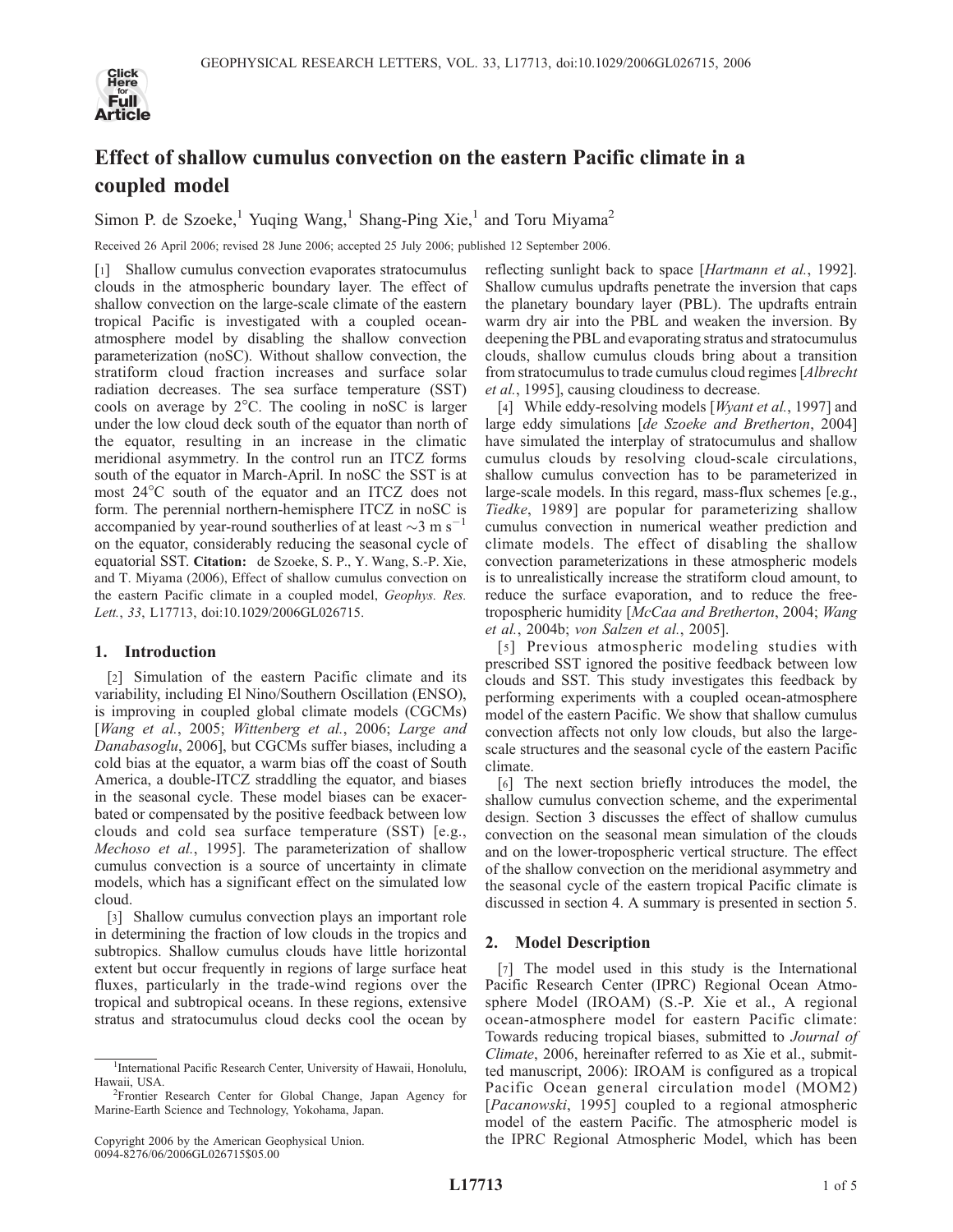

# Effect of shallow cumulus convection on the eastern Pacific climate in a coupled model

Simon P. de Szoeke,<sup>1</sup> Yuqing Wang,<sup>1</sup> Shang-Ping Xie,<sup>1</sup> and Toru Miyama<sup>2</sup>

Received 26 April 2006; revised 28 June 2006; accepted 25 July 2006; published 12 September 2006.

[1] Shallow cumulus convection evaporates stratocumulus clouds in the atmospheric boundary layer. The effect of shallow convection on the large-scale climate of the eastern tropical Pacific is investigated with a coupled oceanatmosphere model by disabling the shallow convection parameterization (noSC). Without shallow convection, the stratiform cloud fraction increases and surface solar radiation decreases. The sea surface temperature (SST) cools on average by  $2^{\circ}$ C. The cooling in noSC is larger under the low cloud deck south of the equator than north of the equator, resulting in an increase in the climatic meridional asymmetry. In the control run an ITCZ forms south of the equator in March-April. In noSC the SST is at most 24<sup>o</sup>C south of the equator and an ITCZ does not form. The perennial northern-hemisphere ITCZ in noSC is accompanied by year-round southerlies of at least  $\sim$ 3 m s<sup>-1</sup> on the equator, considerably reducing the seasonal cycle of equatorial SST. Citation: de Szoeke, S. P., Y. Wang, S.-P. Xie, and T. Miyama (2006), Effect of shallow cumulus convection on the eastern Pacific climate in a coupled model, Geophys. Res. Lett., 33, L17713, doi:10.1029/2006GL026715.

### 1. Introduction

[2] Simulation of the eastern Pacific climate and its variability, including El Nino/Southern Oscillation (ENSO), is improving in coupled global climate models (CGCMs) [Wang et al., 2005; Wittenberg et al., 2006; Large and Danabasoglu, 2006], but CGCMs suffer biases, including a cold bias at the equator, a warm bias off the coast of South America, a double-ITCZ straddling the equator, and biases in the seasonal cycle. These model biases can be exacerbated or compensated by the positive feedback between low clouds and cold sea surface temperature (SST) [e.g., Mechoso et al., 1995]. The parameterization of shallow cumulus convection is a source of uncertainty in climate models, which has a significant effect on the simulated low cloud.

[3] Shallow cumulus convection plays an important role in determining the fraction of low clouds in the tropics and subtropics. Shallow cumulus clouds have little horizontal extent but occur frequently in regions of large surface heat fluxes, particularly in the trade-wind regions over the tropical and subtropical oceans. In these regions, extensive stratus and stratocumulus cloud decks cool the ocean by

reflecting sunlight back to space [Hartmann et al., 1992]. Shallow cumulus updrafts penetrate the inversion that caps the planetary boundary layer (PBL). The updrafts entrain warm dry air into the PBL and weaken the inversion. By deepening the PBL and evaporating stratus and stratocumulus clouds, shallow cumulus clouds bring about a transition from stratocumulus to trade cumulus cloud regimes [Albrecht et al., 1995], causing cloudiness to decrease.

[4] While eddy-resolving models [*Wyant et al.*, 1997] and large eddy simulations [de Szoeke and Bretherton, 2004] have simulated the interplay of stratocumulus and shallow cumulus clouds by resolving cloud-scale circulations, shallow cumulus convection has to be parameterized in large-scale models. In this regard, mass-flux schemes [e.g., Tiedke, 1989] are popular for parameterizing shallow cumulus convection in numerical weather prediction and climate models. The effect of disabling the shallow convection parameterizations in these atmospheric models is to unrealistically increase the stratiform cloud amount, to reduce the surface evaporation, and to reduce the freetropospheric humidity [McCaa and Bretherton, 2004; Wang et al., 2004b; von Salzen et al., 2005].

[5] Previous atmospheric modeling studies with prescribed SST ignored the positive feedback between low clouds and SST. This study investigates this feedback by performing experiments with a coupled ocean-atmosphere model of the eastern Pacific. We show that shallow cumulus convection affects not only low clouds, but also the largescale structures and the seasonal cycle of the eastern Pacific climate.

[6] The next section briefly introduces the model, the shallow cumulus convection scheme, and the experimental design. Section 3 discusses the effect of shallow cumulus convection on the seasonal mean simulation of the clouds and on the lower-tropospheric vertical structure. The effect of the shallow convection on the meridional asymmetry and the seasonal cycle of the eastern tropical Pacific climate is discussed in section 4. A summary is presented in section 5.

## 2. Model Description

[7] The model used in this study is the International Pacific Research Center (IPRC) Regional Ocean Atmosphere Model (IROAM) (S.-P. Xie et al., A regional ocean-atmosphere model for eastern Pacific climate: Towards reducing tropical biases, submitted to Journal of Climate, 2006, hereinafter referred to as Xie et al., submitted manuscript, 2006): IROAM is configured as a tropical Pacific Ocean general circulation model (MOM2) [Pacanowski, 1995] coupled to a regional atmospheric model of the eastern Pacific. The atmospheric model is the IPRC Regional Atmospheric Model, which has been

<sup>&</sup>lt;sup>1</sup>International Pacific Research Center, University of Hawaii, Honolulu, Hawaii, USA. <sup>2</sup>

<sup>&</sup>lt;sup>2</sup>Frontier Research Center for Global Change, Japan Agency for Marine-Earth Science and Technology, Yokohama, Japan.

Copyright 2006 by the American Geophysical Union. 0094-8276/06/2006GL026715\$05.00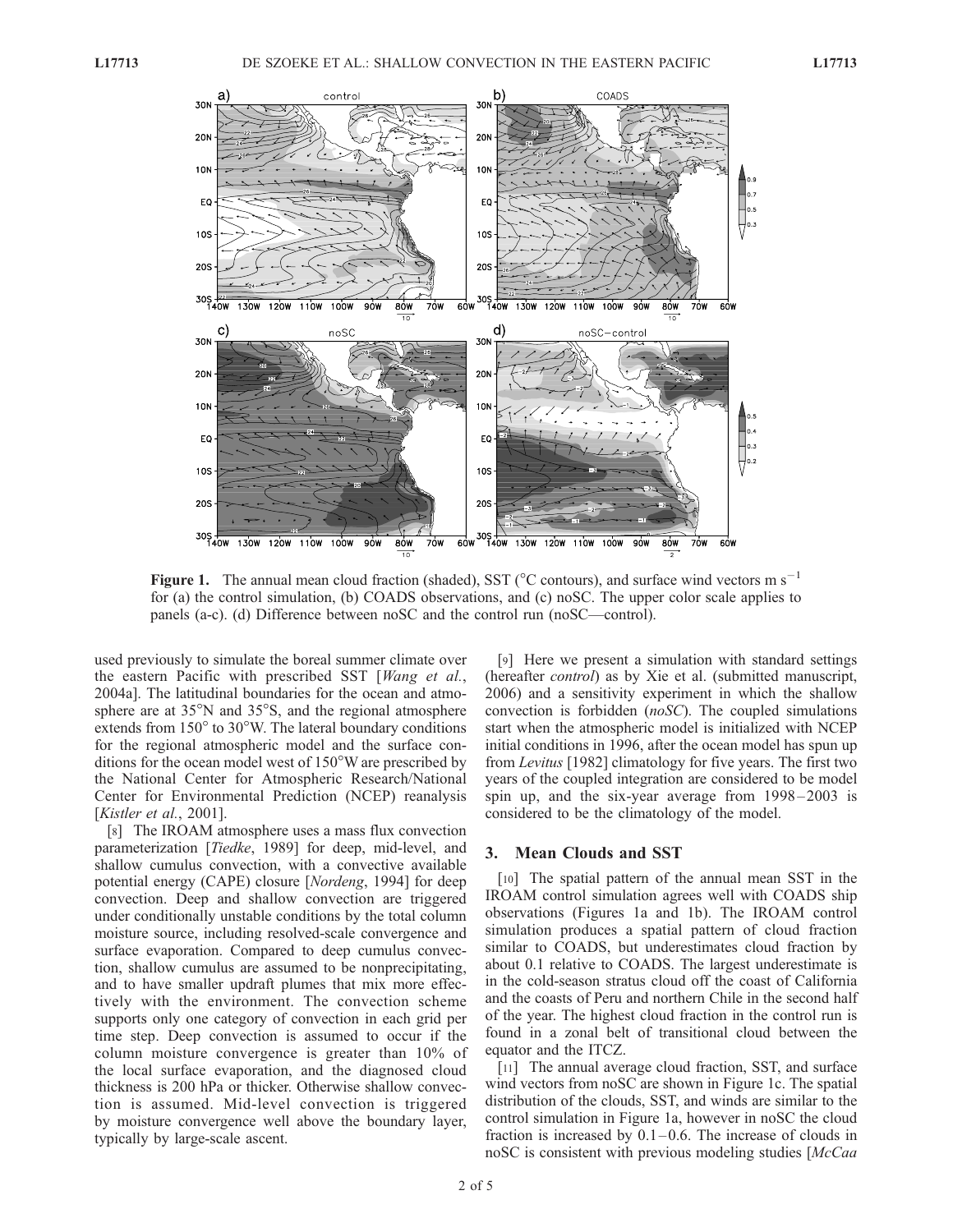

Figure 1. The annual mean cloud fraction (shaded), SST ( $\degree$ C contours), and surface wind vectors m s<sup>-1</sup> for (a) the control simulation, (b) COADS observations, and (c) noSC. The upper color scale applies to panels (a-c). (d) Difference between noSC and the control run (noSC—control).

used previously to simulate the boreal summer climate over the eastern Pacific with prescribed SST [Wang et al., 2004a]. The latitudinal boundaries for the ocean and atmosphere are at  $35^{\circ}$ N and  $35^{\circ}$ S, and the regional atmosphere extends from  $150^{\circ}$  to  $30^{\circ}$ W. The lateral boundary conditions for the regional atmospheric model and the surface conditions for the ocean model west of  $150^{\circ}$ W are prescribed by the National Center for Atmospheric Research/National Center for Environmental Prediction (NCEP) reanalysis [*Kistler et al.*, 2001].

[8] The IROAM atmosphere uses a mass flux convection parameterization [Tiedke, 1989] for deep, mid-level, and shallow cumulus convection, with a convective available potential energy (CAPE) closure [Nordeng, 1994] for deep convection. Deep and shallow convection are triggered under conditionally unstable conditions by the total column moisture source, including resolved-scale convergence and surface evaporation. Compared to deep cumulus convection, shallow cumulus are assumed to be nonprecipitating, and to have smaller updraft plumes that mix more effectively with the environment. The convection scheme supports only one category of convection in each grid per time step. Deep convection is assumed to occur if the column moisture convergence is greater than 10% of the local surface evaporation, and the diagnosed cloud thickness is 200 hPa or thicker. Otherwise shallow convection is assumed. Mid-level convection is triggered by moisture convergence well above the boundary layer, typically by large-scale ascent.

[9] Here we present a simulation with standard settings (hereafter *control*) as by Xie et al. (submitted manuscript, 2006) and a sensitivity experiment in which the shallow convection is forbidden (noSC). The coupled simulations start when the atmospheric model is initialized with NCEP initial conditions in 1996, after the ocean model has spun up from Levitus [1982] climatology for five years. The first two years of the coupled integration are considered to be model spin up, and the six-year average from  $1998 - 2003$  is considered to be the climatology of the model.

#### 3. Mean Clouds and SST

[10] The spatial pattern of the annual mean SST in the IROAM control simulation agrees well with COADS ship observations (Figures 1a and 1b). The IROAM control simulation produces a spatial pattern of cloud fraction similar to COADS, but underestimates cloud fraction by about 0.1 relative to COADS. The largest underestimate is in the cold-season stratus cloud off the coast of California and the coasts of Peru and northern Chile in the second half of the year. The highest cloud fraction in the control run is found in a zonal belt of transitional cloud between the equator and the ITCZ.

[11] The annual average cloud fraction, SST, and surface wind vectors from noSC are shown in Figure 1c. The spatial distribution of the clouds, SST, and winds are similar to the control simulation in Figure 1a, however in noSC the cloud fraction is increased by  $0.1-0.6$ . The increase of clouds in noSC is consistent with previous modeling studies [McCaa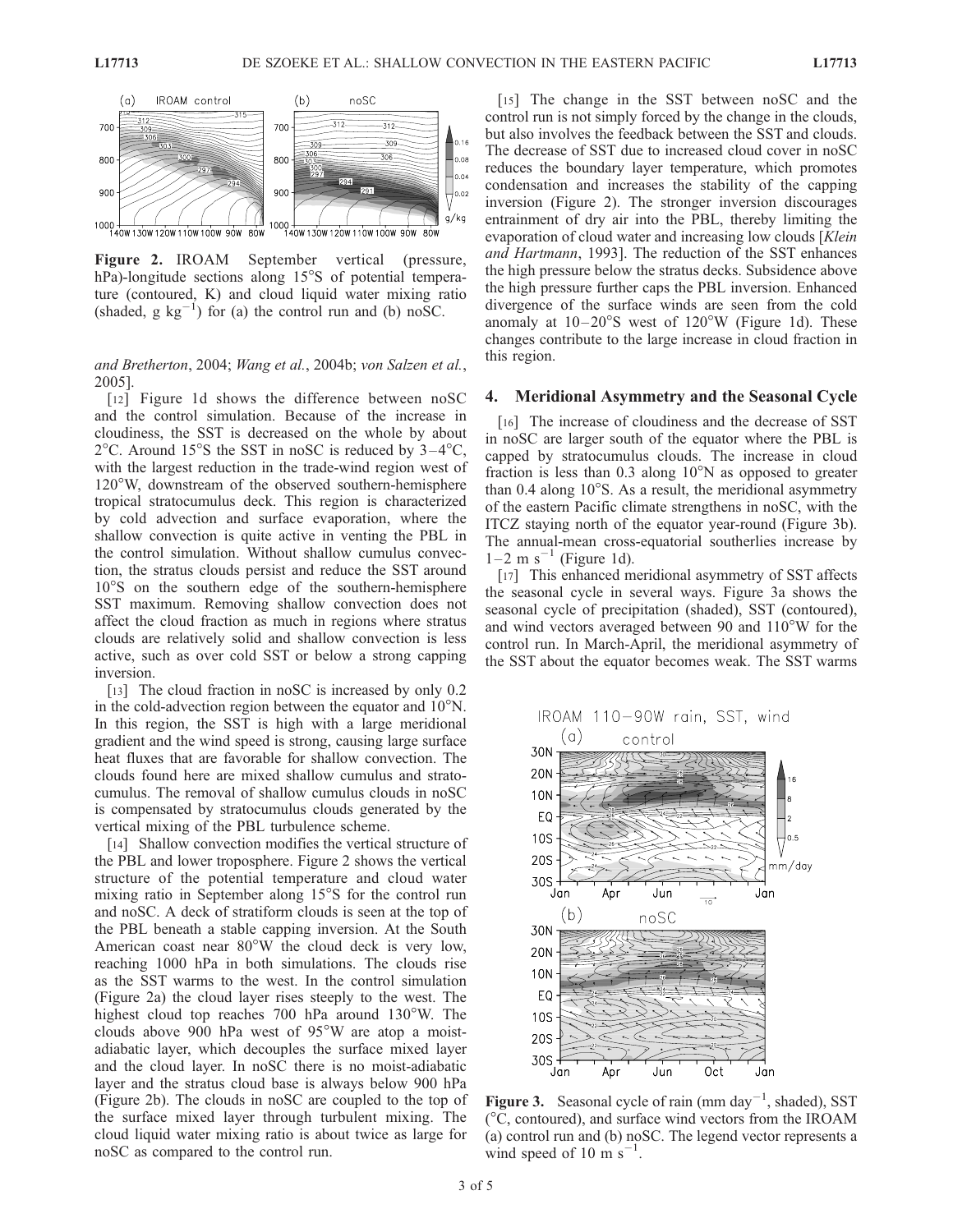

Figure 2. IROAM September vertical (pressure, hPa)-longitude sections along 15°S of potential temperature (contoured, K) and cloud liquid water mixing ratio (shaded, g  $kg^{-1}$ ) for (a) the control run and (b) noSC.

and Bretherton, 2004; Wang et al., 2004b; von Salzen et al., 2005].

[12] Figure 1d shows the difference between noSC and the control simulation. Because of the increase in cloudiness, the SST is decreased on the whole by about  $2^{\circ}$ C. Around 15<sup>o</sup>S the SST in noSC is reduced by  $3-4^{\circ}$ C, with the largest reduction in the trade-wind region west of 120W, downstream of the observed southern-hemisphere tropical stratocumulus deck. This region is characterized by cold advection and surface evaporation, where the shallow convection is quite active in venting the PBL in the control simulation. Without shallow cumulus convection, the stratus clouds persist and reduce the SST around  $10^{\circ}$ S on the southern edge of the southern-hemisphere SST maximum. Removing shallow convection does not affect the cloud fraction as much in regions where stratus clouds are relatively solid and shallow convection is less active, such as over cold SST or below a strong capping inversion.

[13] The cloud fraction in noSC is increased by only 0.2 in the cold-advection region between the equator and  $10^{\circ}$ N. In this region, the SST is high with a large meridional gradient and the wind speed is strong, causing large surface heat fluxes that are favorable for shallow convection. The clouds found here are mixed shallow cumulus and stratocumulus. The removal of shallow cumulus clouds in noSC is compensated by stratocumulus clouds generated by the vertical mixing of the PBL turbulence scheme.

[14] Shallow convection modifies the vertical structure of the PBL and lower troposphere. Figure 2 shows the vertical structure of the potential temperature and cloud water mixing ratio in September along  $15^{\circ}$ S for the control run and noSC. A deck of stratiform clouds is seen at the top of the PBL beneath a stable capping inversion. At the South American coast near  $80^{\circ}$ W the cloud deck is very low, reaching 1000 hPa in both simulations. The clouds rise as the SST warms to the west. In the control simulation (Figure 2a) the cloud layer rises steeply to the west. The highest cloud top reaches 700 hPa around  $130^{\circ}$ W. The clouds above 900 hPa west of  $95^{\circ}$ W are atop a moistadiabatic layer, which decouples the surface mixed layer and the cloud layer. In noSC there is no moist-adiabatic layer and the stratus cloud base is always below 900 hPa (Figure 2b). The clouds in noSC are coupled to the top of the surface mixed layer through turbulent mixing. The cloud liquid water mixing ratio is about twice as large for noSC as compared to the control run.

[15] The change in the SST between noSC and the control run is not simply forced by the change in the clouds, but also involves the feedback between the SST and clouds. The decrease of SST due to increased cloud cover in noSC reduces the boundary layer temperature, which promotes condensation and increases the stability of the capping inversion (Figure 2). The stronger inversion discourages entrainment of dry air into the PBL, thereby limiting the evaporation of cloud water and increasing low clouds [Klein] and Hartmann, 1993]. The reduction of the SST enhances the high pressure below the stratus decks. Subsidence above the high pressure further caps the PBL inversion. Enhanced divergence of the surface winds are seen from the cold anomaly at  $10-20^{\circ}$ S west of  $120^{\circ}$ W (Figure 1d). These changes contribute to the large increase in cloud fraction in this region.

#### 4. Meridional Asymmetry and the Seasonal Cycle

[16] The increase of cloudiness and the decrease of SST in noSC are larger south of the equator where the PBL is capped by stratocumulus clouds. The increase in cloud fraction is less than  $0.3$  along  $10^{\circ}$ N as opposed to greater than  $0.4$  along  $10^{\circ}$ S. As a result, the meridional asymmetry of the eastern Pacific climate strengthens in noSC, with the ITCZ staying north of the equator year-round (Figure 3b). The annual-mean cross-equatorial southerlies increase by  $1-2$  m s<sup>-1</sup> (Figure 1d).

[17] This enhanced meridional asymmetry of SST affects the seasonal cycle in several ways. Figure 3a shows the seasonal cycle of precipitation (shaded), SST (contoured), and wind vectors averaged between 90 and  $110^{\circ}$ W for the control run. In March-April, the meridional asymmetry of the SST about the equator becomes weak. The SST warms



Figure 3. Seasonal cycle of rain (mm day<sup>-1</sup>, shaded), SST  $(^{\circ}C$ , contoured), and surface wind vectors from the IROAM (a) control run and (b) noSC. The legend vector represents a wind speed of 10 m  $s^{-1}$ .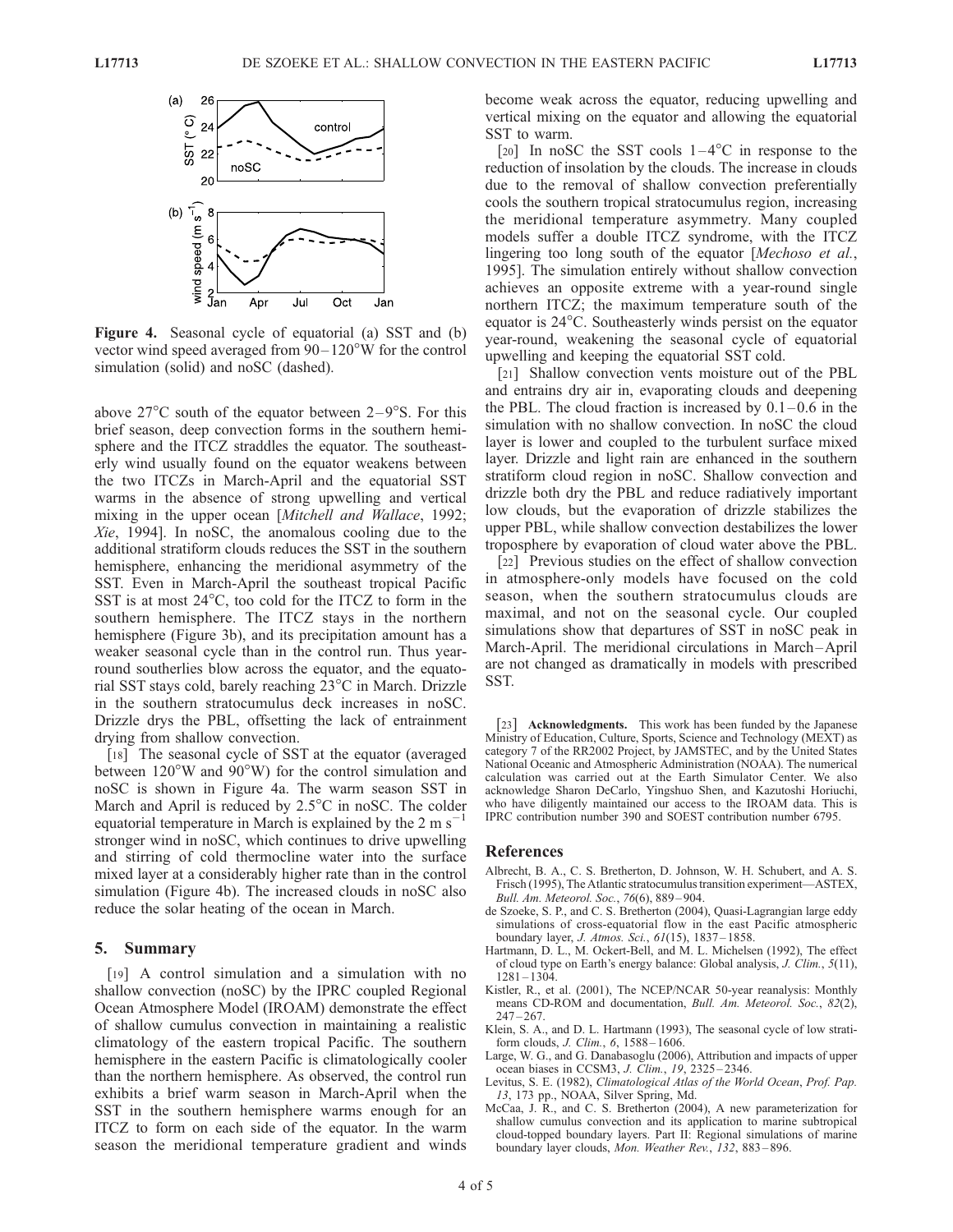

Figure 4. Seasonal cycle of equatorial (a) SST and (b) vector wind speed averaged from  $90-120^{\circ}$ W for the control simulation (solid) and noSC (dashed).

above  $27^{\circ}$ C south of the equator between  $2-9^{\circ}$ S. For this brief season, deep convection forms in the southern hemisphere and the ITCZ straddles the equator. The southeasterly wind usually found on the equator weakens between the two ITCZs in March-April and the equatorial SST warms in the absence of strong upwelling and vertical mixing in the upper ocean [Mitchell and Wallace, 1992; Xie, 1994]. In noSC, the anomalous cooling due to the additional stratiform clouds reduces the SST in the southern hemisphere, enhancing the meridional asymmetry of the SST. Even in March-April the southeast tropical Pacific SST is at most  $24^{\circ}$ C, too cold for the ITCZ to form in the southern hemisphere. The ITCZ stays in the northern hemisphere (Figure 3b), and its precipitation amount has a weaker seasonal cycle than in the control run. Thus yearround southerlies blow across the equator, and the equatorial SST stays cold, barely reaching  $23^{\circ}$ C in March. Drizzle in the southern stratocumulus deck increases in noSC. Drizzle drys the PBL, offsetting the lack of entrainment drying from shallow convection.

[18] The seasonal cycle of SST at the equator (averaged between  $120^{\circ}$ W and  $90^{\circ}$ W) for the control simulation and noSC is shown in Figure 4a. The warm season SST in March and April is reduced by  $2.5^{\circ}$ C in noSC. The colder equatorial temperature in March is explained by the  $2 \text{ m s}^{-1}$ 1 stronger wind in noSC, which continues to drive upwelling and stirring of cold thermocline water into the surface mixed layer at a considerably higher rate than in the control simulation (Figure 4b). The increased clouds in noSC also reduce the solar heating of the ocean in March.

#### 5. Summary

[19] A control simulation and a simulation with no shallow convection (noSC) by the IPRC coupled Regional Ocean Atmosphere Model (IROAM) demonstrate the effect of shallow cumulus convection in maintaining a realistic climatology of the eastern tropical Pacific. The southern hemisphere in the eastern Pacific is climatologically cooler than the northern hemisphere. As observed, the control run exhibits a brief warm season in March-April when the SST in the southern hemisphere warms enough for an ITCZ to form on each side of the equator. In the warm season the meridional temperature gradient and winds

become weak across the equator, reducing upwelling and vertical mixing on the equator and allowing the equatorial SST to warm.

[20] In noSC the SST cools  $1-4$ °C in response to the reduction of insolation by the clouds. The increase in clouds due to the removal of shallow convection preferentially cools the southern tropical stratocumulus region, increasing the meridional temperature asymmetry. Many coupled models suffer a double ITCZ syndrome, with the ITCZ lingering too long south of the equator [Mechoso et al., 1995]. The simulation entirely without shallow convection achieves an opposite extreme with a year-round single northern ITCZ; the maximum temperature south of the equator is  $24^{\circ}$ C. Southeasterly winds persist on the equator year-round, weakening the seasonal cycle of equatorial upwelling and keeping the equatorial SST cold.

[21] Shallow convection vents moisture out of the PBL and entrains dry air in, evaporating clouds and deepening the PBL. The cloud fraction is increased by  $0.1-0.6$  in the simulation with no shallow convection. In noSC the cloud layer is lower and coupled to the turbulent surface mixed layer. Drizzle and light rain are enhanced in the southern stratiform cloud region in noSC. Shallow convection and drizzle both dry the PBL and reduce radiatively important low clouds, but the evaporation of drizzle stabilizes the upper PBL, while shallow convection destabilizes the lower troposphere by evaporation of cloud water above the PBL.

[22] Previous studies on the effect of shallow convection in atmosphere-only models have focused on the cold season, when the southern stratocumulus clouds are maximal, and not on the seasonal cycle. Our coupled simulations show that departures of SST in noSC peak in March-April. The meridional circulations in March–April are not changed as dramatically in models with prescribed SST.

[23] **Acknowledgments.** This work has been funded by the Japanese Ministry of Education, Culture, Sports, Science and Technology (MEXT) as category 7 of the RR2002 Project, by JAMSTEC, and by the United States National Oceanic and Atmospheric Administration (NOAA). The numerical calculation was carried out at the Earth Simulator Center. We also acknowledge Sharon DeCarlo, Yingshuo Shen, and Kazutoshi Horiuchi, who have diligently maintained our access to the IROAM data. This is IPRC contribution number 390 and SOEST contribution number 6795.

#### References

- Albrecht, B. A., C. S. Bretherton, D. Johnson, W. H. Schubert, and A. S. Frisch (1995), The Atlantic stratocumulus transition experiment—ASTEX, Bull. Am. Meteorol. Soc., 76(6), 889 – 904.
- de Szoeke, S. P., and C. S. Bretherton (2004), Quasi-Lagrangian large eddy simulations of cross-equatorial flow in the east Pacific atmospheric boundary layer, J. Atmos. Sci., 61(15), 1837 – 1858.
- Hartmann, D. L., M. Ockert-Bell, and M. L. Michelsen (1992), The effect of cloud type on Earth's energy balance: Global analysis, J. Clim., 5(11), 1281 – 1304.
- Kistler, R., et al. (2001), The NCEP/NCAR 50-year reanalysis: Monthly means CD-ROM and documentation, Bull. Am. Meteorol. Soc., 82(2),  $247 - 267$ .
- Klein, S. A., and D. L. Hartmann (1993), The seasonal cycle of low stratiform clouds, J. Clim., 6, 1588 – 1606.
- Large, W. G., and G. Danabasoglu (2006), Attribution and impacts of upper ocean biases in CCSM3, J. Clim., 19, 2325 – 2346.
- Levitus, S. E. (1982), Climatological Atlas of the World Ocean, Prof. Pap. 13, 173 pp., NOAA, Silver Spring, Md.
- McCaa, J. R., and C. S. Bretherton (2004), A new parameterization for shallow cumulus convection and its application to marine subtropical cloud-topped boundary layers. Part II: Regional simulations of marine boundary layer clouds, Mon. Weather Rev., 132, 883 – 896.